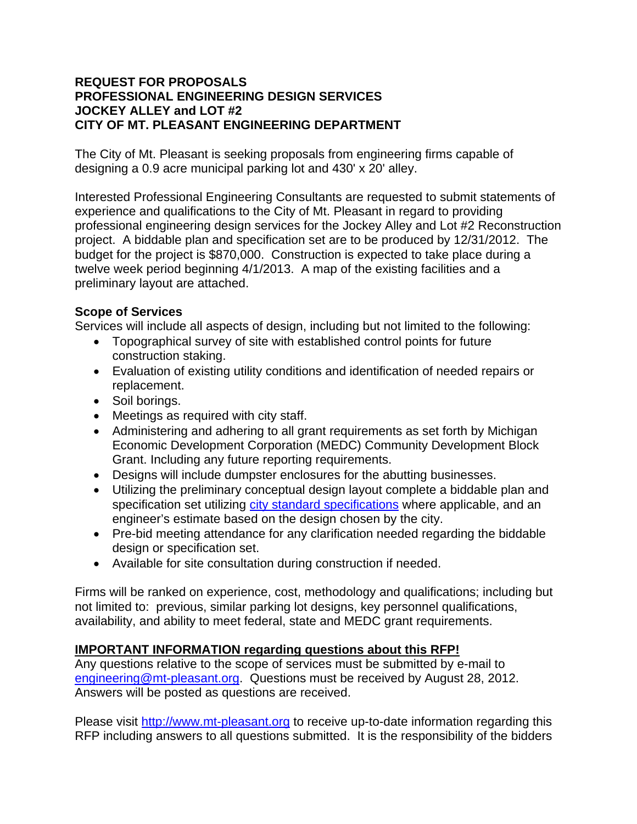### **REQUEST FOR PROPOSALS PROFESSIONAL ENGINEERING DESIGN SERVICES JOCKEY ALLEY and LOT #2 CITY OF MT. PLEASANT ENGINEERING DEPARTMENT**

The City of Mt. Pleasant is seeking proposals from engineering firms capable of designing a 0.9 acre municipal parking lot and 430' x 20' alley.

Interested Professional Engineering Consultants are requested to submit statements of experience and qualifications to the City of Mt. Pleasant in regard to providing professional engineering design services for the Jockey Alley and Lot #2 Reconstruction project. A biddable plan and specification set are to be produced by 12/31/2012. The budget for the project is \$870,000. Construction is expected to take place during a twelve week period beginning 4/1/2013. A map of the existing facilities and a preliminary layout are attached.

## **Scope of Services**

Services will include all aspects of design, including but not limited to the following:

- Topographical survey of site with established control points for future construction staking.
- Evaluation of existing utility conditions and identification of needed repairs or replacement.
- Soil borings.
- Meetings as required with city staff.
- Administering and adhering to all grant requirements as set forth by Michigan Economic Development Corporation (MEDC) Community Development Block Grant. Including any future reporting requirements.
- Designs will include dumpster enclosures for the abutting businesses.
- Utilizing the preliminary conceptual design layout complete a biddable plan and specification set utilizing city standard specifications where applicable, and an engineer's estimate based on the design chosen by the city.
- Pre-bid meeting attendance for any clarification needed regarding the biddable design or specification set.
- Available for site consultation during construction if needed.

Firms will be ranked on experience, cost, methodology and qualifications; including but not limited to: previous, similar parking lot designs, key personnel qualifications, availability, and ability to meet federal, state and MEDC grant requirements.

# **IMPORTANT INFORMATION regarding questions about this RFP!**

Any questions relative to the scope of services must be submitted by e-mail to engineering@mt-pleasant.org. Questions must be received by August 28, 2012. Answers will be posted as questions are received.

Please visit http://www.mt-pleasant.org to receive up-to-date information regarding this RFP including answers to all questions submitted. It is the responsibility of the bidders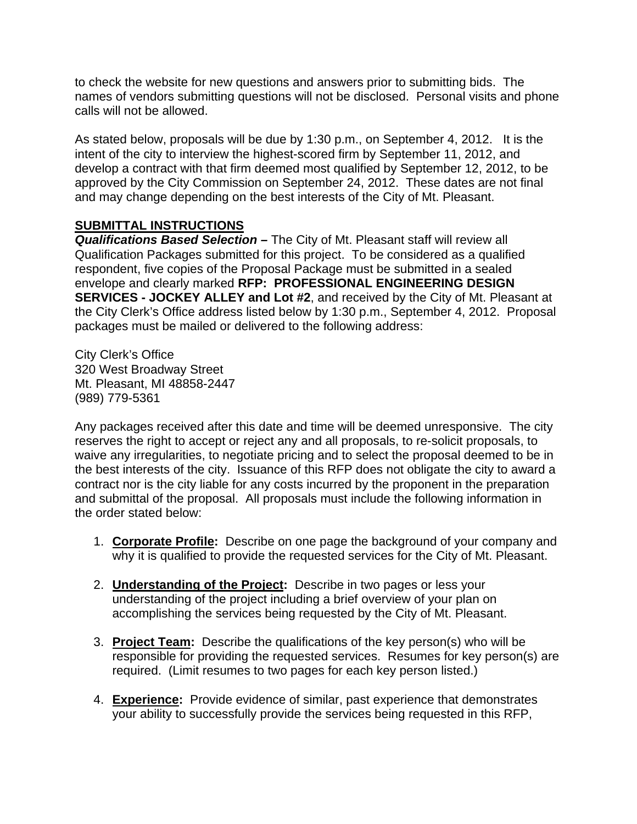to check the website for new questions and answers prior to submitting bids. The names of vendors submitting questions will not be disclosed. Personal visits and phone calls will not be allowed.

As stated below, proposals will be due by 1:30 p.m., on September 4, 2012. It is the intent of the city to interview the highest-scored firm by September 11, 2012, and develop a contract with that firm deemed most qualified by September 12, 2012, to be approved by the City Commission on September 24, 2012. These dates are not final and may change depending on the best interests of the City of Mt. Pleasant.

### **SUBMITTAL INSTRUCTIONS**

*Qualifications Based Selection –* The City of Mt. Pleasant staff will review all Qualification Packages submitted for this project. To be considered as a qualified respondent, five copies of the Proposal Package must be submitted in a sealed envelope and clearly marked **RFP: PROFESSIONAL ENGINEERING DESIGN SERVICES - JOCKEY ALLEY and Lot #2**, and received by the City of Mt. Pleasant at the City Clerk's Office address listed below by 1:30 p.m., September 4, 2012. Proposal packages must be mailed or delivered to the following address:

City Clerk's Office 320 West Broadway Street Mt. Pleasant, MI 48858-2447 (989) 779-5361

Any packages received after this date and time will be deemed unresponsive. The city reserves the right to accept or reject any and all proposals, to re-solicit proposals, to waive any irregularities, to negotiate pricing and to select the proposal deemed to be in the best interests of the city. Issuance of this RFP does not obligate the city to award a contract nor is the city liable for any costs incurred by the proponent in the preparation and submittal of the proposal. All proposals must include the following information in the order stated below:

- 1. **Corporate Profile:** Describe on one page the background of your company and why it is qualified to provide the requested services for the City of Mt. Pleasant.
- 2. **Understanding of the Project:** Describe in two pages or less your understanding of the project including a brief overview of your plan on accomplishing the services being requested by the City of Mt. Pleasant.
- 3. **Project Team:** Describe the qualifications of the key person(s) who will be responsible for providing the requested services. Resumes for key person(s) are required. (Limit resumes to two pages for each key person listed.)
- 4. **Experience:** Provide evidence of similar, past experience that demonstrates your ability to successfully provide the services being requested in this RFP,